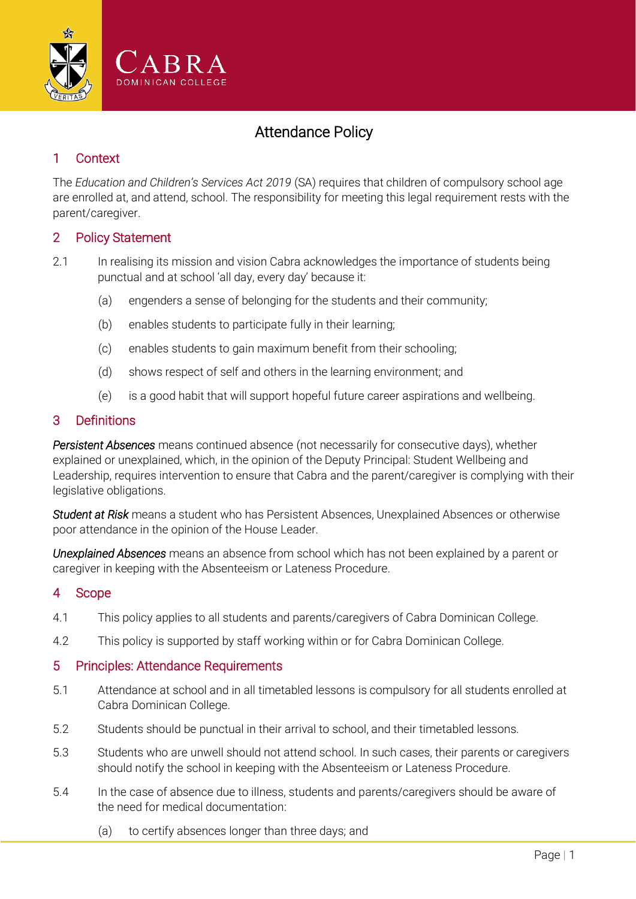

# Attendance Policy

## 1 Context

The *Education and Children's Services Act 2019* (SA) requires that children of compulsory school age are enrolled at, and attend, school. The responsibility for meeting this legal requirement rests with the parent/caregiver.

#### 2 Policy Statement

- 2.1 In realising its mission and vision Cabra acknowledges the importance of students being punctual and at school 'all day, every day' because it:
	- (a) engenders a sense of belonging for the students and their community;
	- (b) enables students to participate fully in their learning;
	- (c) enables students to gain maximum benefit from their schooling;
	- (d) shows respect of self and others in the learning environment; and
	- (e) is a good habit that will support hopeful future career aspirations and wellbeing.

### 3 Definitions

*Persistent Absences* means continued absence (not necessarily for consecutive days), whether explained or unexplained, which, in the opinion of the Deputy Principal: Student Wellbeing and Leadership, requires intervention to ensure that Cabra and the parent/caregiver is complying with their legislative obligations.

*Student at Risk* means a student who has Persistent Absences, Unexplained Absences or otherwise poor attendance in the opinion of the House Leader.

*Unexplained Absences* means an absence from school which has not been explained by a parent or caregiver in keeping with the Absenteeism or Lateness Procedure.

#### 4 Scope

- 4.1 This policy applies to all students and parents/caregivers of Cabra Dominican College.
- 4.2 This policy is supported by staff working within or for Cabra Dominican College.

#### 5 Principles: Attendance Requirements

- 5.1 Attendance at school and in all timetabled lessons is compulsory for all students enrolled at Cabra Dominican College.
- 5.2 Students should be punctual in their arrival to school, and their timetabled lessons.
- 5.3 Students who are unwell should not attend school. In such cases, their parents or caregivers should notify the school in keeping with the Absenteeism or Lateness Procedure.
- 5.4 In the case of absence due to illness, students and parents/caregivers should be aware of the need for medical documentation:
	- (a) to certify absences longer than three days; and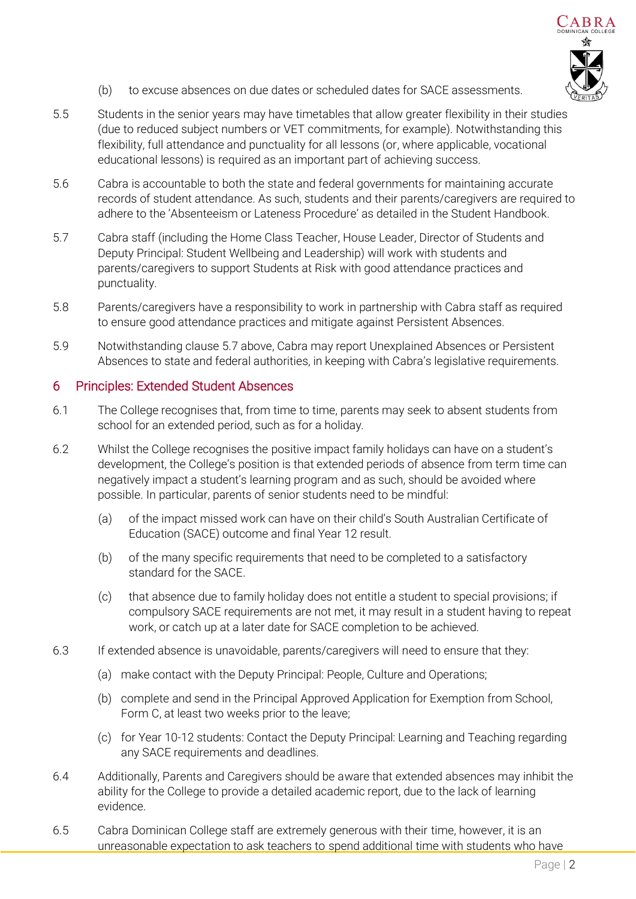

- (b) to excuse absences on due dates or scheduled dates for SACE assessments.
- 5.5 Students in the senior years may have timetables that allow greater flexibility in their studies (due to reduced subject numbers or VET commitments, for example). Notwithstanding this flexibility, full attendance and punctuality for all lessons (or, where applicable, vocational educational lessons) is required as an important part of achieving success.
- 5.6 Cabra is accountable to both the state and federal governments for maintaining accurate records of student attendance. As such, students and their parents/caregivers are required to adhere to the 'Absenteeism or Lateness Procedure' as detailed in the Student Handbook.
- <span id="page-1-0"></span>5.7 Cabra staff (including the Home Class Teacher, House Leader, Director of Students and Deputy Principal: Student Wellbeing and Leadership) will work with students and parents/caregivers to support Students at Risk with good attendance practices and punctuality.
- 5.8 Parents/caregivers have a responsibility to work in partnership with Cabra staff as required to ensure good attendance practices and mitigate against Persistent Absences.
- 5.9 Notwithstanding clause [5.7 above,](#page-1-0) Cabra may report Unexplained Absences or Persistent Absences to state and federal authorities, in keeping with Cabra's legislative requirements.

#### 6 Principles: Extended Student Absences

- 6.1 The College recognises that, from time to time, parents may seek to absent students from school for an extended period, such as for a holiday.
- 6.2 Whilst the College recognises the positive impact family holidays can have on a student's development, the College's position is that extended periods of absence from term time can negatively impact a student's learning program and as such, should be avoided where possible. In particular, parents of senior students need to be mindful:
	- (a) of the impact missed work can have on their child's South Australian Certificate of Education (SACE) outcome and final Year 12 result.
	- (b) of the many specific requirements that need to be completed to a satisfactory standard for the SACE.
	- (c) that absence due to family holiday does not entitle a student to special provisions; if compulsory SACE requirements are not met, it may result in a student having to repeat work, or catch up at a later date for SACE completion to be achieved.
- 6.3 If extended absence is unavoidable, parents/caregivers will need to ensure that they:
	- (a) make contact with the Deputy Principal: People, Culture and Operations;
	- (b) complete and send in the Principal Approved Application for Exemption from School, Form C, at least two weeks prior to the leave;
	- (c) for Year 10-12 students: Contact the Deputy Principal: Learning and Teaching regarding any SACE requirements and deadlines.
- 6.4 Additionally, Parents and Caregivers should be aware that extended absences may inhibit the ability for the College to provide a detailed academic report, due to the lack of learning evidence.
- 6.5 Cabra Dominican College staff are extremely generous with their time, however, it is an unreasonable expectation to ask teachers to spend additional time with students who have